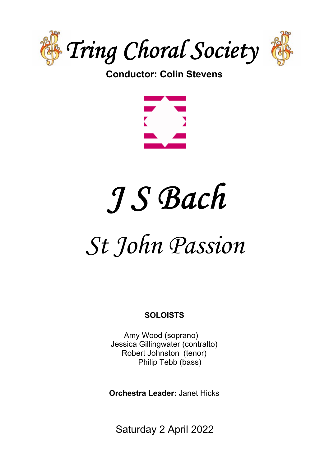

# **Conductor: Colin Stevens**



# J S Bach

# *St John Passion*

# **SOLOISTS**

Amy Wood (soprano) Jessica Gillingwater (contralto) Robert Johnston (tenor) Philip Tebb (bass)

**Orchestra Leader:** Janet Hicks

Saturday 2 April 2022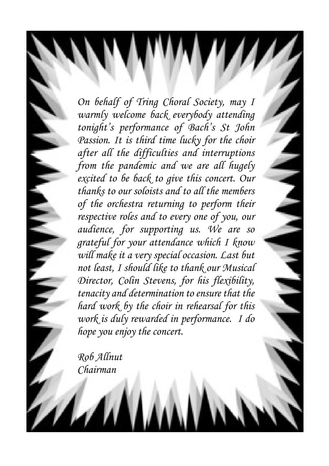*On behalf of Tring Choral Society, may I warmly welcome back everybody attending tonight's performance of Bach's St John Passion. It is third time lucky for the choir after all the difficulties and interruptions from the pandemic and we are all hugely excited to be back to give this concert. Our thanks to our soloists and to all the members of the orchestra returning to perform their respective roles and to every one of you, our audience, for supporting us. We are so grateful for your attendance which I know will make it a very special occasion. Last but not least, I should like to thank our Musical Director, Colin Stevens, for his flexibility, tenacity and determination to ensure that the hard work by the choir in rehearsal for this work is duly rewarded in performance. I do hope you enjoy the concert.*

*Rob Allnut Chairman*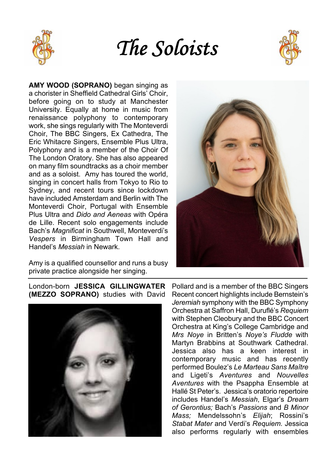





**AMY WOOD (SOPRANO)** began singing as a chorister in Sheffield Cathedral Girls' Choir, before going on to study at Manchester University. Equally at home in music from renaissance polyphony to contemporary work, she sings regularly with The Monteverdi Choir, The BBC Singers, Ex Cathedra, The Eric Whitacre Singers, Ensemble Plus Ultra, Polyphony and is a member of the Choir Of The London Oratory. She has also appeared on many film soundtracks as a choir member and as a soloist. Amy has toured the world, singing in concert halls from Tokyo to Rio to Sydney, and recent tours since lockdown have included Amsterdam and Berlin with The Monteverdi Choir, Portugal with Ensemble Plus Ultra and *Dido and Aeneas* with Opéra de Lille. Recent solo engagements include Bach's *Magnificat* in Southwell, Monteverdi's *Vespers* in Birmingham Town Hall and Handel's *Messiah* in Newark.

Amy is a qualified counsellor and runs a busy private practice alongside her singing.



### London-born **JESSICA GILLINGWATER (MEZZO SOPRANO)** studies with David



Pollard and is a member of the BBC Singers Recent concert highlights include Bernstein's *Jeremiah* symphony with the BBC Symphony Orchestra at Saffron Hall, Duruflé's *Requiem* with Stephen Cleobury and the BBC Concert Orchestra at King's College Cambridge and *Mrs Noye* in Britten's *Noye's Fludde* with Martyn Brabbins at Southwark Cathedral. Jessica also has a keen interest in contemporary music and has recently performed Boulez's *Le Marteau Sans Maître* and Ligeti's *Aventures* and *Nouvelles Aventures* with the Psappha Ensemble at Hallé St Peter's. Jessica's oratorio repertoire includes Handel's *Messiah*, Elgar's *Dream of Gerontius;* Bach's *Passions* and *B Minor Mass;* Mendelssohn's *Elijah*; Rossini's *Stabat Mater* and Verdi's *Requiem.* Jessica also performs regularly with ensembles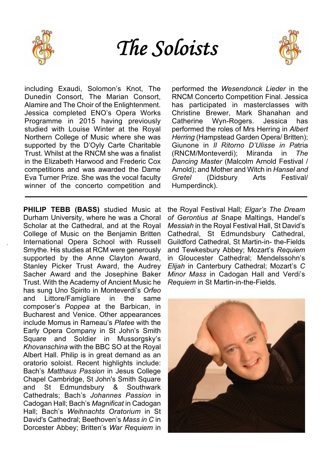

The Soloists



including Exaudi, Solomon's Knot, The Dunedin Consort, The Marian Consort, Alamire and The Choir of the Enlightenment. Jessica completed ENO's Opera Works Programme in 2015 having previously studied with Louise Winter at the Royal Northern College of Music where she was supported by the D'Oyly Carte Charitable Trust. Whilst at the RNCM she was a finalist in the Elizabeth Harwood and Frederic Cox competitions and was awarded the Dame Eva Turner Prize. She was the vocal faculty winner of the concerto competition and

**PHILIP TEBB (BASS)** studied Music at Durham University, where he was a Choral Scholar at the Cathedral, and at the Royal College of Music on the Benjamin Britten International Opera School with Russell Smythe. His studies at RCM were generously supported by the Anne Clayton Award, Stanley Picker Trust Award, the Audrey Sacher Award and the Josephine Baker Trust. With the Academy of Ancient Music he has sung Uno Spirito in Monteverdi's *Orfeo* and Littore/Famigliare in the same composer's *Poppea* at the Barbican, in Bucharest and Venice. Other appearances include Momus in Rameau's *Platee* with the Early Opera Company in St John's Smith Square and Soldier in Mussorgsky's *Khovanschina* with the BBC SO at the Royal Albert Hall. Philip is in great demand as an oratorio soloist. Recent highlights include: Bach's *Matthaus Passion* in Jesus College Chapel Cambridge, St John's Smith Square and St Edmundsbury & Southwark Cathedrals; Bach's *Johannes Passion* in Cadogan Hall; Bach's *Magnificat* in Cadogan Hall; Bach's *Weihnachts Oratorium* in St David's Cathedral; Beethoven's *Mass in C* in Dorcester Abbey; Britten's *War Requiem* in performed the *Wesendonck Lieder* in the RNCM Concerto Competition Final. Jessica has participated in masterclasses with Christine Brewer, Mark Shanahan and Catherine Wyn-Rogers. Jessica has performed the roles of Mrs Herring in *Albert Herring* (Hampstead Garden Opera/ Britten); Giunone in *Il Ritorno D'Ulisse in Pa*tria (RNCM/Monteverdi); Miranda in *The Dancing Master* (Malcolm Arnold Festival / Arnold); and Mother and Witch in *Hansel and (Didsbury* Humperdinck).

the Royal Festival Hall; *Elgar's The Dream of Gerontius at* Snape Maltings, Handel's *Messiah* in the Royal Festival Hall, St David's Cathedral, St Edmundsbury Cathedral, Guildford Cathedral, St Martin-in- the-Fields and Tewkesbury Abbey; Mozart's *Requiem* in Gloucester Cathedral; Mendelssohn's *Elijah* in Canterbury Cathedral; Mozart's *C Minor Mass* in Cadogan Hall and Verdi's *Requiem* in St Martin-in-the-Fields.

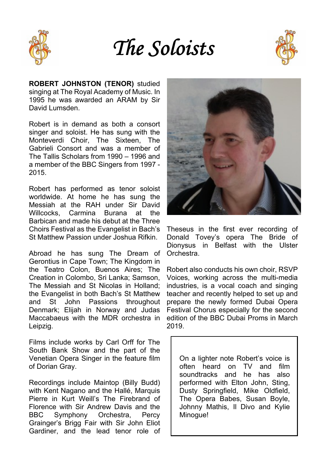The Soloists



**ROBERT JOHNSTON (TENOR)** studied singing at The Royal Academy of Music. In 1995 he was awarded an ARAM by Sir David Lumsden.

Robert is in demand as both a consort singer and soloist. He has sung with the Monteverdi Choir, The Sixteen, The Gabrieli Consort and was a member of The Tallis Scholars from 1990 – 1996 and a member of the BBC Singers from 1997 - 2015.

Robert has performed as tenor soloist worldwide. At home he has sung the Messiah at the RAH under Sir David Willcocks, Carmina Burana at the Barbican and made his debut at the Three Choirs Festival as the Evangelist in Bach's St Matthew Passion under Joshua Rifkin.

Abroad he has sung The Dream of Gerontius in Cape Town; The Kingdom in the Teatro Colon, Buenos Aires; The Creation in Colombo, Sri Lanka; Samson, The Messiah and St Nicolas in Holland; the Evangelist in both Bach's St Matthew and St John Passions throughout Denmark; Elijah in Norway and Judas Maccabaeus with the MDR orchestra in Leipzig.

Films include works by Carl Orff for The South Bank Show and the part of the Venetian Opera Singer in the feature film of Dorian Gray.

Recordings include Maintop (Billy Budd) with Kent Nagano and the Hallé, Marquis Pierre in Kurt Weill's The Firebrand of Florence with Sir Andrew Davis and the BBC Symphony Orchestra, Percy Grainger's Brigg Fair with Sir John Eliot Gardiner, and the lead tenor role of



Theseus in the first ever recording of Donald Tovey's opera The Bride of Dionysus in Belfast with the Ulster Orchestra.

Robert also conducts his own choir, RSVP Voices, working across the multi-media industries, is a vocal coach and singing teacher and recently helped to set up and prepare the newly formed Dubai Opera Festival Chorus especially for the second edition of the BBC Dubai Proms in March 2019.

On a lighter note Robert's voice is often heard on TV and film soundtracks and he has also performed with Elton John, Sting, Dusty Springfield, Mike Oldfield, The Opera Babes, Susan Boyle, Johnny Mathis, Il Divo and Kylie Minogue!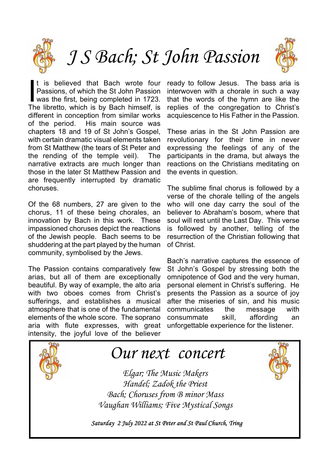

*J S Bach; St John Passion*



It is believed that Bach wrote four<br>Passions, of which the St John Passion<br>was the first, being completed in 1723.<br>The libretto, which is by Bach himself, is t is believed that Bach wrote four Passions, of which the St John Passion was the first, being completed in 1723. different in conception from similar works<br>of the period. His main source was His main source was chapters 18 and 19 of St John's Gospel, with certain dramatic visual elements taken from St Matthew (the tears of St Peter and the rending of the temple veil). The narrative extracts are much longer than those in the later St Matthew Passion and are frequently interrupted by dramatic choruses.

Of the 68 numbers, 27 are given to the chorus, 11 of these being chorales, an innovation by Bach in this work. These impassioned choruses depict the reactions of the Jewish people. Bach seems to be shuddering at the part played by the human community, symbolised by the Jews.

The Passion contains comparatively few arias, but all of them are exceptionally beautiful. By way of example, the alto aria with two oboes comes from Christ's sufferings, and establishes a musical atmosphere that is one of the fundamental elements of the whole score. The soprano aria with flute expresses, with great intensity, the joyful love of the believer

ready to follow Jesus. The bass aria is interwoven with a chorale in such a way that the words of the hymn are like the replies of the congregation to Christ's acquiescence to His Father in the Passion.

These arias in the St John Passion are revolutionary for their time in never expressing the feelings of any of the participants in the drama, but always the reactions on the Christians meditating on the events in question.

The sublime final chorus is followed by a verse of the chorale telling of the angels who will one day carry the soul of the believer to Abraham's bosom, where that soul will rest until the Last Day. This verse is followed by another, telling of the resurrection of the Christian following that of Christ.

Bach's narrative captures the essence of St John's Gospel by stressing both the omnipotence of God and the very human, personal element in Christ's suffering. He presents the Passion as a source of joy after the miseries of sin, and his music communicates the message with consummate skill, affording an unforgettable experience for the listener.



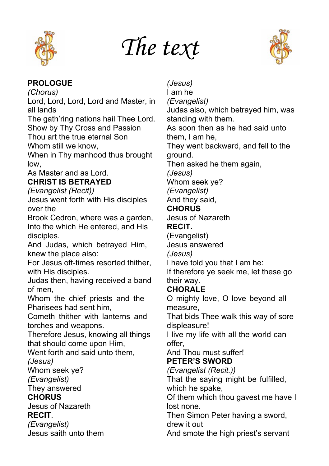

# *The text*



# **PROLOGUE**

*(Chorus)*

Lord, Lord, Lord, Lord and Master, in all lands

The gath'ring nations hail Thee Lord. Show by Thy Cross and Passion Thou art the true eternal Son

Whom still we know

When in Thy manhood thus brought low,

As Master and as Lord.

# **CHRIST IS BETRAYED**

# *(Evangelist (Recit))*

Jesus went forth with His disciples over the

Brook Cedron, where was a garden, Into the which He entered, and His disciples.

And Judas, which betrayed Him, knew the place also:

For Jesus oft-times resorted thither, with His disciples.

Judas then, having received a band of men,

Whom the chief priests and the Pharisees had sent him,

Cometh thither with lanterns and torches and weapons.

Therefore Jesus, knowing all things that should come upon Him,

Went forth and said unto them,

*(Jesus)*

Whom seek ye?

*(Evangelist)*

They answered

# **CHORUS**

Jesus of Nazareth **RECIT**.

*(Evangelist)*

Jesus saith unto them

*(Jesus)* I am he *(Evangelist)* Judas also, which betrayed him, was standing with them. As soon then as he had said unto them, I am he, They went backward, and fell to the ground. Then asked he them again, *(Jesus)* Whom seek ye? *(Evangelist)* And they said, **CHORUS** Jesus of Nazareth **RECIT.** (Evangelist) Jesus answered *(Jesus)* I have told you that I am he: If therefore ye seek me, let these go their way. **CHORALE** O mighty love, O love beyond all measure, That bids Thee walk this way of sore displeasure! I live my life with all the world can offer, And Thou must suffer! **PETER'S SWORD** *(Evangelist (Recit.))* That the saying might be fulfilled, which he spake, Of them which thou gavest me have I lost none. Then Simon Peter having a sword,

drew it out

And smote the high priest's servant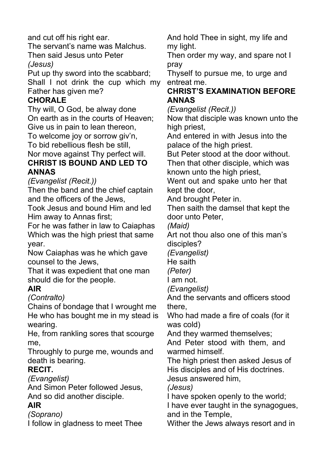and cut off his right ear.

The servant's name was Malchus. Then said Jesus unto Peter

*(Jesus)*

Put up thy sword into the scabbard; Shall I not drink the cup which my Father has given me?

# **CHORALE**

Thy will, O God, be alway done On earth as in the courts of Heaven; Give us in pain to lean thereon,

To welcome joy or sorrow giv'n,

To bid rebellious flesh be still,

Nor move against Thy perfect will. **CHRIST IS BOUND AND LED TO**

# **ANNAS**

*(Evangelist (Recit.))*

Then the band and the chief captain and the officers of the Jews,

Took Jesus and bound Him and led Him away to Annas first;

For he was father in law to Caiaphas Which was the high priest that same year.

Now Caiaphas was he which gave counsel to the Jews,

That it was expedient that one man should die for the people.

# **AIR**

*(Contralto)*

Chains of bondage that I wrought me He who has bought me in my stead is wearing.

He, from rankling sores that scourge me,

Throughly to purge me, wounds and death is bearing.

# **RECIT.**

*(Evangelist)*

And Simon Peter followed Jesus, And so did another disciple.

# **AIR**

*(Soprano)*

I follow in gladness to meet Thee

And hold Thee in sight, my life and my light.

Then order my way, and spare not I pray

Thyself to pursue me, to urge and entreat me.

# **CHRIST'S EXAMINATION BEFORE ANNAS**

*(Evangelist (Recit.))*

Now that disciple was known unto the high priest,

And entered in with Jesus into the palace of the high priest.

But Peter stood at the door without. Then that other disciple, which was known unto the high priest,

Went out and spake unto her that kept the door,

And brought Peter in.

Then saith the damsel that kept the door unto Peter,

*(Maid)*

Art not thou also one of this man's disciples?

*(Evangelist)*

He saith

*(Peter)*

I am not.

*(Evangelist)*

And the servants and officers stood there,

Who had made a fire of coals (for it was cold)

And they warmed themselves;

And Peter stood with them, and warmed himself.

The high priest then asked Jesus of His disciples and of His doctrines.

Jesus answered him,

*(Jesus)*

I have spoken openly to the world;

I have ever taught in the synagogues, and in the Temple,

Wither the Jews always resort and in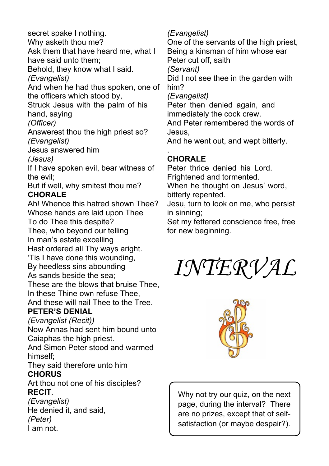secret spake I nothing.

Why asketh thou me?

Ask them that have heard me, what I have said unto them;

Behold, they know what I said.

*(Evangelist)*

And when he had thus spoken, one of the officers which stood by,

Struck Jesus with the palm of his hand, saying

*(Officer)*

Answerest thou the high priest so? *(Evangelist)*

Jesus answered him

*(Jesus)*

If I have spoken evil, bear witness of the evil;

But if well, why smitest thou me? **CHORALE**

Ah! Whence this hatred shown Thee? Whose hands are laid upon Thee To do Thee this despite?

Thee, who beyond our telling

In man's estate excelling

Hast ordered all Thy ways aright.

'Tis I have done this wounding,

By heedless sins abounding

As sands beside the sea;

These are the blows that bruise Thee, In these Thine own refuse Thee,

And these will nail Thee to the Tree. **PETER'S DENIAL**

*(Evangelist (Recit))*

Now Annas had sent him bound unto Caiaphas the high priest.

And Simon Peter stood and warmed himself;

They said therefore unto him **CHORUS**

Art thou not one of his disciples? **RECIT**.

*(Evangelist)* He denied it, and said, *(Peter)* I am not.

# *(Evangelist)*

One of the servants of the high priest, Being a kinsman of him whose ear Peter cut off, saith

*(Servant)*

Did I not see thee in the garden with him?

*(Evangelist)*

Peter then denied again, and immediately the cock crew.

And Peter remembered the words of Jesus,

And he went out, and wept bitterly.

#### . **CHORALE**

Peter thrice denied his Lord. Frightened and tormented.

When he thought on Jesus' word. bitterly repented.

Jesu, turn to look on me, who persist in sinning;

Set my fettered conscience free, free for new beginning.

*INTERVAL*



Why not try our quiz, on the next page, during the interval? There are no prizes, except that of selfsatisfaction (or maybe despair?).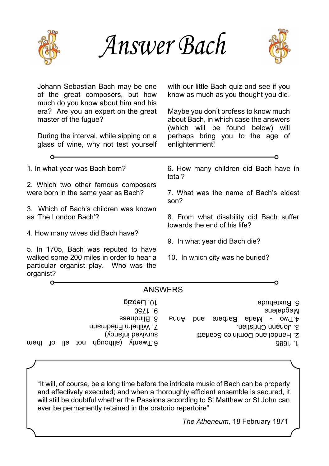

*Answer Bach*



Johann Sebastian Bach may be one with our little Bach quiz and see if you of the great composers, but how know as much as you thought you did. much do you know about him and his era? Are you an expert on the great Maybe you don't profess to know much master of the fugue? about Bach, in which case the answers (which will be found below) will During the interval, while sipping on a perhaps bring you to the age of glass of wine, why not test yourself enlightenment! 1. In what year was Bach born? 6. How many children did Bach have in total? 2. Which two other famous composers were born in the same year as Bach? 7. What was the name of Bach's eldest son? 3. Which of Bach's children was known as 'The London Bach'? 8. From what disability did Bach suffer towards the end of his life? 4. How many wives did Bach have? 9. In what year did Bach die? 5. In 1705, Bach was reputed to have walked some 200 miles in order to hear a 10. In which city was he buried? particular organist play. Who was the organist?  $\Omega$ ANSWERS 10<sup>.</sup> riebzig 5. Buxtehude Magdalena 9. 1750 8. Blindness 4.1 wo - Maria Barbara and Anna 7. Wilhelm Friedmann 3. Johann Christian. Survived infancy)

- 2. Handel and Dominico Scarlatti
	- 1. 1685

"It will, of course, be a long time before the intricate music of Bach can be properly

6.Twenty (surport up to the up to the them in the use the them in the them in the them in the them in the the

and effectively executed; and when a thoroughly efficient ensemble is secured, it will still be doubtful whether the Passions according to St Matthew or St John can ever be permanently retained in the oratorio repertoire"

*The Atheneum,* 18 February 1871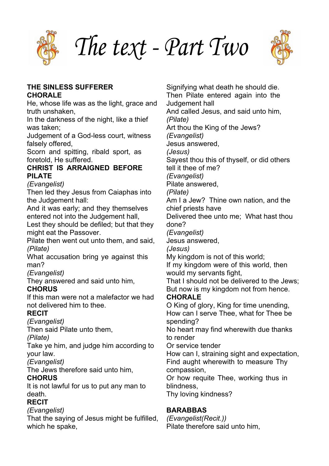

*The text - Part Two*



### **THE SINLESS SUFFERER CHORALE**

He, whose life was as the light, grace and truth unshaken,

In the darkness of the night, like a thief was taken;

Judgement of a God-less court, witness falsely offered,

Scorn and spitting, ribald sport, as foretold, He suffered.

### **CHRIST IS ARRAIGNED BEFORE PILATE**

*(Evangelist)*

Then led they Jesus from Caiaphas into the Judgement hall:

And it was early; and they themselves entered not into the Judgement hall,

Lest they should be defiled; but that they might eat the Passover.

Pilate then went out unto them, and said, *(Pilate)*

What accusation bring ye against this man?

*(Evangelist)*

They answered and said unto him,

# **CHORUS**

If this man were not a malefactor we had not delivered him to thee.

# **RECIT**

*(Evangelist)*

Then said Pilate unto them,

*(Pilate)*

Take ye him, and judge him according to your law.

*(Evangelist)*

The Jews therefore said unto him,

# **CHORUS**

It is not lawful for us to put any man to death.

# **RECIT**

# *(Evangelist)*

That the saying of Jesus might be fulfilled, which he spake.

Signifying what death he should die. Then Pilate entered again into the Judgement hall And called Jesus, and said unto him, *(Pilate)* Art thou the King of the Jews? *(Evangelist)* Jesus answered, *(Jesus)* Sayest thou this of thyself, or did others tell it thee of me? *(Evangelist)* Pilate answered, *(Pilate)* Am I a Jew? Thine own nation, and the chief priests have Delivered thee unto me; What hast thou done? *(Evangelist)* Jesus answered, *(Jesus)* My kingdom is not of this world; If my kingdom were of this world, then would my servants fight, That I should not be delivered to the Jews; But now is my kingdom not from hence. **CHORALE** O King of glory, King for time unending, How can I serve Thee, what for Thee be spending? No heart may find wherewith due thanks to render Or service tender How can I, straining sight and expectation, Find aught wherewith to measure Thy compassion, Or how requite Thee, working thus in blindness, Thy loving kindness?

# **BARABBAS**

*(Evangelist(Recit.))* Pilate therefore said unto him,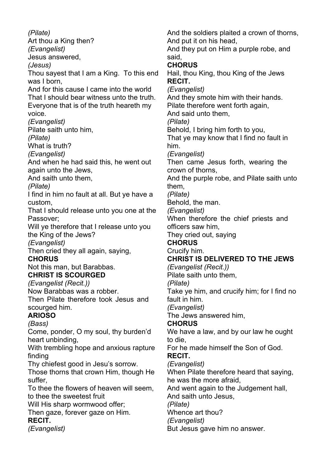*(Pilate)* Art thou a King then? *(Evangelist)* Jesus answered, *(Jesus)* Thou sayest that I am a King. To this end was I born, And for this cause I came into the world That I should bear witness unto the truth. Everyone that is of the truth heareth my voice. *(Evangelist)* Pilate saith unto him, *(Pilate)* What is truth? *(Evangelist)* And when he had said this, he went out again unto the Jews, And saith unto them, *(Pilate)* I find in him no fault at all. But ye have a custom, That I should release unto you one at the Passover; Will ye therefore that I release unto you the King of the Jews? *(Evangelist)* Then cried they all again, saying, **CHORUS** Not this man, but Barabbas. **CHRIST IS SCOURGED** *(Evangelist (Recit.))* Now Barabbas was a robber. Then Pilate therefore took Jesus and scourged him. **ARIOSO** *(Bass)* Come, ponder, O my soul, thy burden'd heart unbinding, With trembling hope and anxious rapture finding Thy chiefest good in Jesu's sorrow. Those thorns that crown Him, though He suffer, To thee the flowers of heaven will seem, to thee the sweetest fruit Will His sharp wormwood offer: Then gaze, forever gaze on Him. **RECIT.** *(Evangelist)*

And put it on his head, And they put on Him a purple robe, and said, **CHORUS** Hail, thou King, thou King of the Jews **RECIT.** *(Evangelist)* And they smote him with their hands. Pilate therefore went forth again, And said unto them, *(Pilate)* Behold, I bring him forth to you, That ye may know that I find no fault in him. *(Evangelist)* Then came Jesus forth, wearing the crown of thorns, And the purple robe, and Pilate saith unto them, *(Pilate)* Behold, the man. *(Evangelist)* When therefore the chief priests and officers saw him, They cried out, saying **CHORUS** Crucify him. **CHRIST IS DELIVERED TO THE JEWS** *(Evangelist (Recit.))* Pilate saith unto them, *(Pilate)* Take ye him, and crucify him; for I find no fault in him. *(Evangelist)* The Jews answered him, **CHORUS** We have a law, and by our law he ought to die, For he made himself the Son of God. **RECIT.** *(Evangelist)* When Pilate therefore heard that saying, he was the more afraid, And went again to the Judgement hall, And saith unto Jesus, *(Pilate)* Whence art thou? *(Evangelist)* But Jesus gave him no answer.

And the soldiers plaited a crown of thorns,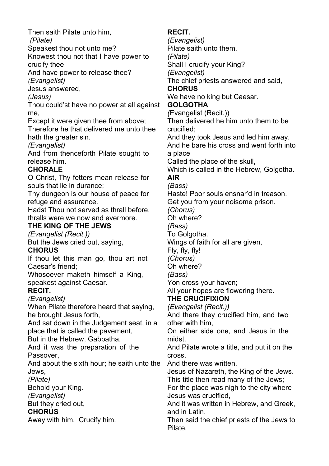Then saith Pilate unto him, *(Pilate)* Speakest thou not unto me? Knowest thou not that I have power to crucify thee And have power to release thee? *(Evangelist)* Jesus answered, *(Jesus)* Thou could'st have no power at all against me, Except it were given thee from above; Therefore he that delivered me unto thee hath the greater sin. *(Evangelist)* And from thenceforth Pilate sought to release him. **CHORALE** O Christ, Thy fetters mean release for souls that lie in durance; Thy dungeon is our house of peace for refuge and assurance. Hadst Thou not served as thrall before, thralls were we now and evermore. **THE KING OF THE JEWS** *(Evangelist (Recit.))* But the Jews cried out, saying, **CHORUS** If thou let this man go, thou art not Caesar's friend; Whosoever maketh himself a King, speakest against Caesar. **RECIT.** *(Evangelist)* When Pilate therefore heard that saying, he brought Jesus forth, And sat down in the Judgement seat, in a place that is called the pavement, But in the Hebrew, Gabbatha. And it was the preparation of the Passover, And about the sixth hour; he saith unto the Jews, *(Pilate)* Behold your King. *(Evangelist)* But they cried out, **CHORUS**

Away with him. Crucify him.

# **RECIT.**

*(Evangelist)* Pilate saith unto them,

*(Pilate)*

Shall I crucify your King?

*(Evangelist)*

The chief priests answered and said,

# **CHORUS**

We have no king but Caesar.

# **GOLGOTHA**

*(*Evangelist (Recit.))

Then delivered he him unto them to be crucified;

And they took Jesus and led him away.

And he bare his cross and went forth into a place

Called the place of the skull,

Which is called in the Hebrew, Golgotha.

# **AIR**

*(Bass)*

Haste! Poor souls ensnar'd in treason.

Get you from your noisome prison.

*(Chorus)*

Oh where?

*(Bass)*

To Golgotha.

Wings of faith for all are given,

Fly, fly, fly!

*(Chorus)*

Oh where?

*(Bass)*

Yon cross your haven;

All your hopes are flowering there.

# **THE CRUCIFIXION**

*(Evangelist (Recit.))*

And there they crucified him, and two other with him,

On either side one, and Jesus in the midst.

And Pilate wrote a title, and put it on the cross.

And there was written,

Jesus of Nazareth, the King of the Jews. This title then read many of the Jews;

For the place was nigh to the city where Jesus was crucified,

And it was written in Hebrew, and Greek, and in Latin.

Then said the chief priests of the Jews to Pilate,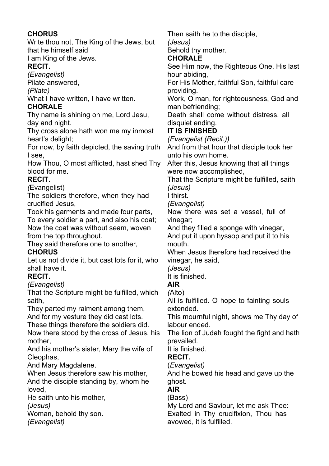# **CHORUS**

Write thou not, The King of the Jews, but that he himself said I am King of the Jews.

# **RECIT.**

*(Evangelist)*

Pilate answered,

*(Pilate)*

What I have written, I have written.

## **CHORALE**

Thy name is shining on me, Lord Jesu, day and night.

Thy cross alone hath won me my inmost heart's delight;

For now, by faith depicted, the saving truth I see,

How Thou, O most afflicted, hast shed Thy blood for me.

# **RECIT.**

*(*Evangelist)

The soldiers therefore, when they had crucified Jesus,

Took his garments and made four parts,

To every soldier a part, and also his coat; Now the coat was without seam, woven from the top throughout.

They said therefore one to another,

# **CHORUS**

Let us not divide it, but cast lots for it, who shall have it.

# **RECIT.**

*(Evangelist)*

That the Scripture might be fulfilled, which saith,

They parted my raiment among them,

And for my vesture they did cast lots.

These things therefore the soldiers did.

Now there stood by the cross of Jesus, his mother,

And his mother's sister, Mary the wife of Cleophas,

And Mary Magdalene.

When Jesus therefore saw his mother. And the disciple standing by, whom he loved,

He saith unto his mother,

*(Jesus)*

Woman, behold thy son.

*(Evangelist)*

Then saith he to the disciple, *(Jesus)*

Behold thy mother.

# **CHORALE**

See Him now, the Righteous One, His last hour abiding,

For His Mother, faithful Son, faithful care providing.

Work, O man, for righteousness, God and man befriending;

Death shall come without distress, all disquiet ending.

# **IT IS FINISHED**

*(Evangelist (Recit.))*

And from that hour that disciple took her unto his own home.

After this, Jesus knowing that all things were now accomplished,

That the Scripture might be fulfilled, saith *(Jesus)*

I thirst.

*(Evangelist)*

Now there was set a vessel, full of vinegar;

And they filled a sponge with vinegar,

And put it upon hyssop and put it to his mouth.

When Jesus therefore had received the vinegar, he said,

*(Jesus)*

It is finished.

# **AIR**

*(*Alto)

All is fulfilled. O hope to fainting souls extended.

This mournful night, shows me Thy day of labour ended.

The lion of Judah fought the fight and hath prevailed.

It is finished.

# **RECIT.**

(*Evangelist)*

And he bowed his head and gave up the ghost.

# **AIR**

(Bass) My Lord and Saviour, let me ask Thee: Exalted in Thy crucifixion, Thou has avowed, it is fulfilled.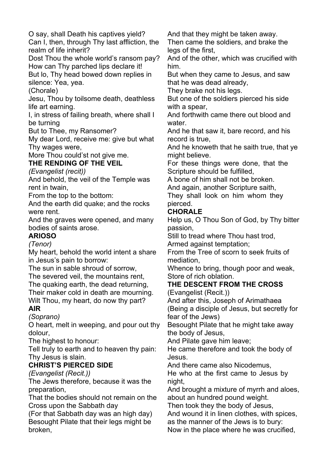O say, shall Death his captives yield?

Can I, then, through Thy last affliction, the realm of life inherit?

Dost Thou the whole world's ransom pay? How can Thy parched lips declare it!

But lo, Thy head bowed down replies in silence: Yea, yea.

(Chorale)

Jesu, Thou by toilsome death, deathless life art earning.

I, in stress of failing breath, where shall I be turning

But to Thee, my Ransomer?

My dear Lord, receive me: give but what Thy wages were,

More Thou could'st not give me. **THE RENDING OF THE VEIL**

*(Evangelist (recit))*

And behold, the veil of the Temple was rent in twain,

From the top to the bottom:

And the earth did quake; and the rocks were rent.

And the graves were opened, and many bodies of saints arose.

**ARIOSO**

*(Tenor)*

My heart, behold the world intent a share in Jesus's pain to borrow:

The sun in sable shroud of sorrow,

The severed veil, the mountains rent, The quaking earth, the dead returning, Their maker cold in death are mourning.

Wilt Thou, my heart, do now thy part? **AIR**

*(Soprano)*

O heart, melt in weeping, and pour out thy dolour,

The highest to honour:

Tell truly to earth and to heaven thy pain: Thy Jesus is slain.

# **CHRIST'S PIERCED SIDE**

*(Evangelist (Recit.))*

The Jews therefore, because it was the preparation,

That the bodies should not remain on the Cross upon the Sabbath day

(For that Sabbath day was an high day) Besought Pilate that their legs might be broken,

And that they might be taken away.

Then came the soldiers, and brake the legs of the first,

And of the other, which was crucified with him.

But when they came to Jesus, and saw that he was dead already,

They brake not his legs.

But one of the soldiers pierced his side with a spear.

And forthwith came there out blood and water.

And he that saw it, bare record, and his record is true,

And he knoweth that he saith true, that ye might believe.

For these things were done, that the Scripture should be fulfilled,

A bone of him shall not be broken.

And again, another Scripture saith,

They shall look on him whom they pierced.

# **CHORALE**

Help us, O Thou Son of God, by Thy bitter passion,

Still to tread where Thou hast trod, Armed against temptation;

From the Tree of scorn to seek fruits of mediation,

Whence to bring, though poor and weak, Store of rich oblation.

# **THE DESCENT FROM THE CROSS**

(Evangelist (Recit.))

And after this, Joseph of Arimathaea (Being a disciple of Jesus, but secretly for fear of the Jews)

Besought Pilate that he might take away the body of Jesus,

And Pilate gave him leave;

He came therefore and took the body of Jesus.

And there came also Nicodemus,

He who at the first came to Jesus by night,

And brought a mixture of myrrh and aloes, about an hundred pound weight.

Then took they the body of Jesus,

And wound it in linen clothes, with spices,

as the manner of the Jews is to bury:

Now in the place where he was crucified,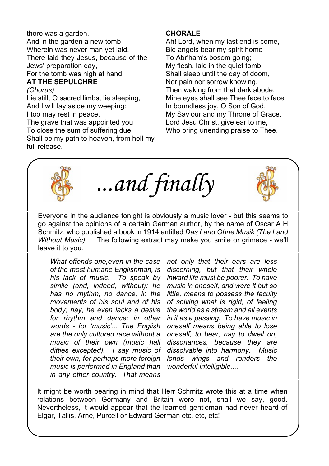there was a garden, And in the garden a new tomb Wherein was never man yet laid. There laid they Jesus, because of the Jews' preparation day, For the tomb was nigh at hand.

#### **AT THE SEPULCHRE**

#### *(Chorus)*

Lie still, O sacred limbs, lie sleeping, And I will lay aside my weeping: I too may rest in peace.

The grave that was appointed you To close the sum of suffering due, Shall be my path to heaven, from hell my full release.

### **CHORALE**

Ah! Lord, when my last end is come, Bid angels bear my spirit home To Abr'ham's bosom going; My flesh, laid in the quiet tomb, Shall sleep until the day of doom, Nor pain nor sorrow knowing. Then waking from that dark abode, Mine eyes shall see Thee face to face In boundless joy, O Son of God, My Saviour and my Throne of Grace. Lord Jesu Christ, give ear to me, Who bring unending praise to Thee.



*...and finally*

Everyone in the audience tonight is obviously a music lover - but this seems to go against the opinions of a certain German author, by the name of Oscar A H Schmitz, who published a book in 1914 entitled *Das Land Ohne Musik (The Land Without Music).* The following extract may make you smile or grimace - we'll leave it to you.

*What offends one,even in the case not only that their ears are less of the most humane Englishman, is discerning, but that their whole his lack of music. To speak by inward life must be poorer. To have simile (and, indeed, without): he has no rhythm, no dance, in the has no rhythm, no dance, in the little, means to possess the faculty body; nay, he even lacks a desire for rhythm and dance; in other in it as a passing. To have music in words - for 'music'... The English oneself means being able to lose are the only cultured race without a oneself, to bear, nay to dwell on, music of their own (music hall dissonances, because they are ditties excepted). I say music of dissolvable into harmony. Music their own, for perhaps more foreign lends wings and renders the music is performed in England than in any other country. That means*

*movements of his soul and of his of solving what is rigid, of feeling*

It might be worth bearing in mind that Herr Schmitz wrote this at a time when relations between Germany and Britain were not, shall we say, good. Nevertheless, it would appear that the learned gentleman had never heard of Elgar, Tallis, Arne, Purcell or Edward German etc, etc, etc!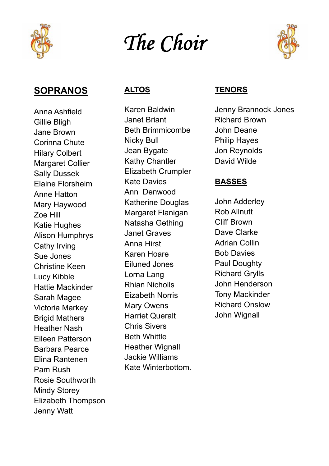

# The Choir



# **SOPRANOS**

Anna Ashfield Gillie Bligh Jane Brown Corinna Chute Hilary Colbert Margaret Collier Sally Dussek Elaine Florsheim Anne Hatton Mary Haywood Zoe Hill Katie Hughes Alison Humphrys Cathy Irving Sue Jones Christine Keen Lucy Kibble Hattie Mackinder Sarah Magee Victoria Markey Brigid Mathers Heather Nash Eileen Patterson Barbara Pearce Elina Rantenen Pam Rush Rosie Southworth Mindy Storey Elizabeth Thompson Jenny Watt

# **ALTOS**

Karen Baldwin Janet Briant Beth Brimmicombe Nicky Bull Jean Bygate Kathy Chantler Elizabeth Crumpler Kate Davies Ann Denwood Katherine Douglas Margaret Flanigan Natasha Gething Janet Graves Anna Hirst Karen Hoare Eiluned Jones Lorna Lang Rhian Nicholls Eizabeth Norris Mary Owens Harriet Queralt Chris Sivers Beth Whittle Heather Wignall Jackie Williams Kate Winterbottom.

# **TENORS**

Jenny Brannock Jones Richard Brown John Deane Philip Hayes Jon Reynolds David Wilde

# **BASSES**

John Adderley Rob Allnutt Cliff Brown Dave Clarke Adrian Collin Bob Davies Paul Doughty Richard Grylls John Henderson Tony Mackinder Richard Onslow John Wignall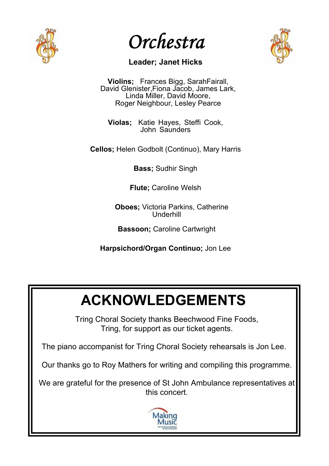

Orchestra



# **Leader; Janet Hicks**

**Violins;** Frances Bigg, SarahFairall, David Glenister,Fiona Jacob, James Lark, Linda Miller, David Moore, Roger Neighbour, Lesley Pearce

**Violas;** Katie Hayes, Steffi Cook, John Saunders

**Cellos;** Helen Godbolt (Continuo), Mary Harris

**Bass;** Sudhir Singh

**Flute;** Caroline Welsh

 **Oboes;** Victoria Parkins, Catherine Underhill

**Bassoon;** Caroline Cartwright

**Harpsichord/Organ Continuo;** Jon Lee

# **ACKNOWLEDGEMENTS**

Tring Choral Society thanks Beechwood Fine Foods, Tring, for support as our ticket agents.

The piano accompanist for Tring Choral Society rehearsals is Jon Lee.

Our thanks go to Roy Mathers for writing and compiling this programme.

We are grateful for the presence of St John Ambulance representatives at this concert.

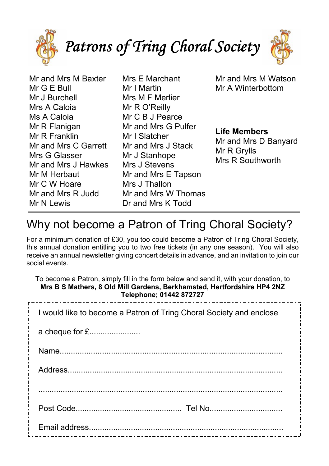

Mr and Mrs M Baxter Mr G E Bull Mr J Burchell Mrs A Caloia Ms A Caloia Mr R Flanigan Mr R Franklin Mr and Mrs C Garrett Mrs G Glasser Mr and Mrs J Hawkes Mr M Herbaut Mr C W Hoare Mr and Mrs R Judd Mr N Lewis

Mrs E Marchant Mr I Martin Mrs M F Merlier Mr R O'Reilly Mr C B J Pearce Mr and Mrs G Pulfer Mr I Slatcher Mr and Mrs J Stack Mr J Stanhope Mrs J Stevens Mr and Mrs E Tapson Mrs J Thallon Mr and Mrs W Thomas Dr and Mrs K Todd

Mr and Mrs M Watson Mr A Winterbottom

**Life Members** Mr and Mrs D Banyard Mr R Grylls Mrs R Southworth

# Why not become a Patron of Tring Choral Society?

For a minimum donation of £30, you too could become a Patron of Tring Choral Society, this annual donation entitling you to two free tickets (in any one season). You will also receive an annual newsletter giving concert details in advance, and an invitation to join our social events.

| To become a Patron, simply fill in the form below and send it, with your donation, to<br>Mrs B S Mathers, 8 Old Mill Gardens, Berkhamsted, Hertfordshire HP4 2NZ<br>Telephone; 01442 872727<br>------------------- |
|--------------------------------------------------------------------------------------------------------------------------------------------------------------------------------------------------------------------|
| I would like to become a Patron of Tring Choral Society and enclose                                                                                                                                                |
| a cheque for £                                                                                                                                                                                                     |
|                                                                                                                                                                                                                    |
|                                                                                                                                                                                                                    |
|                                                                                                                                                                                                                    |
|                                                                                                                                                                                                                    |
|                                                                                                                                                                                                                    |